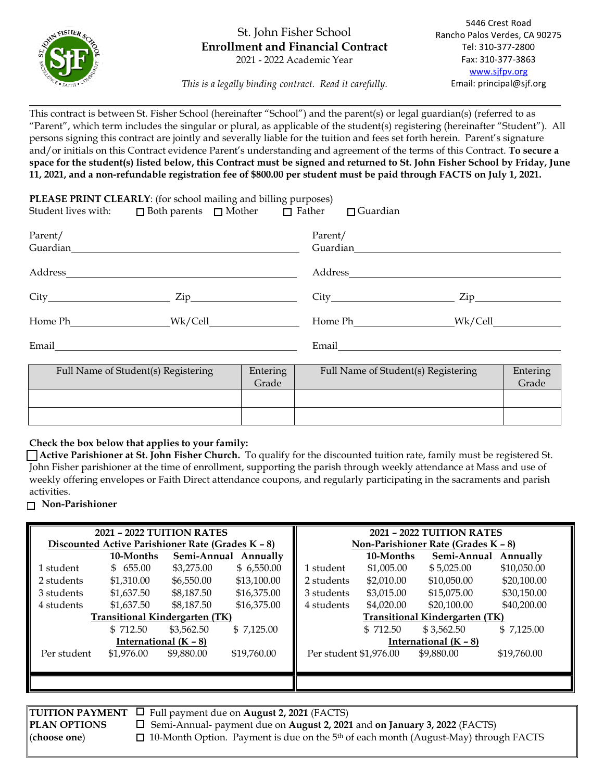

## St. John Fisher School **Enrollment and Financial Contract** 2021 - 2022 Academic Year

*This is a legally binding contract. Read it carefully.*

This contract is between St. Fisher School (hereinafter "School") and the parent(s) or legal guardian(s) (referred to as "Parent", which term includes the singular or plural, as applicable of the student(s) registering (hereinafter "Student"). All persons signing this contract are jointly and severally liable for the tuition and fees set forth herein. Parent's signature and/or initials on this Contract evidence Parent's understanding and agreement of the terms of this Contract. **To secure a space for the student(s) listed below, this Contract must be signed and returned to St. John Fisher School by Friday, June 11, 2021, and a non-refundable registration fee of \$800.00 per student must be paid through FACTS on July 1, 2021.**

|                                                          | PLEASE PRINT CLEARLY: (for school mailing and billing purposes)<br>Student lives with: $\Box$ Both parents $\Box$ Mother $\Box$ Father $\Box$ Guardian |                                     |                     |                   |                         |  |
|----------------------------------------------------------|--------------------------------------------------------------------------------------------------------------------------------------------------------|-------------------------------------|---------------------|-------------------|-------------------------|--|
| Parent/<br>Guardian                                      |                                                                                                                                                        |                                     | Parent/<br>Guardian |                   |                         |  |
| Address                                                  |                                                                                                                                                        |                                     |                     | Address           |                         |  |
|                                                          | $\operatorname{Zip}\nolimits$                                                                                                                          |                                     |                     |                   | $\overline{\text{Zip}}$ |  |
|                                                          | Home Ph Wk/Cell                                                                                                                                        |                                     |                     | Home Ph Wk/Cell   |                         |  |
| Email                                                    |                                                                                                                                                        |                                     | Email               |                   |                         |  |
| Full Name of Student(s) Registering<br>Entering<br>Grade |                                                                                                                                                        | Full Name of Student(s) Registering |                     | Entering<br>Grade |                         |  |

| Full Name of Student(s) Registering | Entering<br>Grade | Full Name of Student(s) Registering | Entering<br>Grade |
|-------------------------------------|-------------------|-------------------------------------|-------------------|
|                                     |                   |                                     |                   |
|                                     |                   |                                     |                   |

#### **Check the box below that applies to your family:**

 **Active Parishioner at St. John Fisher Church.** To qualify for the discounted tuition rate, family must be registered St. John Fisher parishioner at the time of enrollment, supporting the parish through weekly attendance at Mass and use of weekly offering envelopes or Faith Direct attendance coupons, and regularly participating in the sacraments and parish activities.

#### **Non-Parishioner**

| 2021 - 2022 TUITION RATES             |                                                   |            | <b>2021 - 2022 TUITION RATES</b>      |                        |            |                                     |             |
|---------------------------------------|---------------------------------------------------|------------|---------------------------------------|------------------------|------------|-------------------------------------|-------------|
|                                       | Discounted Active Parishioner Rate (Grades K - 8) |            |                                       |                        |            | Non-Parishioner Rate (Grades K - 8) |             |
|                                       | 10-Months                                         |            | Semi-Annual Annually                  |                        | 10-Months  | Semi-Annual                         | Annually    |
| 1 student                             | \$655.00                                          | \$3,275.00 | \$6,550.00                            | 1 student              | \$1,005.00 | \$5,025.00                          | \$10,050.00 |
| 2 students                            | \$1,310.00                                        | \$6,550.00 | \$13,100.00                           | 2 students             | \$2,010.00 | \$10,050,00                         | \$20,100,00 |
| 3 students                            | \$1,637.50                                        | \$8,187.50 | \$16,375.00                           | 3 students             | \$3,015.00 | \$15,075.00                         | \$30,150.00 |
| 4 students                            | \$1,637.50                                        | \$8,187.50 | \$16,375.00                           | 4 students             | \$4,020.00 | \$20,100,00                         | \$40,200,00 |
| <b>Transitional Kindergarten (TK)</b> |                                                   |            | <b>Transitional Kindergarten (TK)</b> |                        |            |                                     |             |
|                                       | \$712.50                                          | \$3,562.50 | \$7,125.00                            |                        | \$712.50   | \$3,562.50                          | \$7,125.00  |
| International $(K - 8)$               |                                                   |            | International $(K - 8)$               |                        |            |                                     |             |
| Per student                           | \$1,976.00                                        | \$9,880.00 | \$19,760.00                           | Per student \$1,976.00 |            | \$9,880.00                          | \$19,760.00 |
|                                       |                                                   |            |                                       |                        |            |                                     |             |
|                                       |                                                   |            |                                       |                        |            |                                     |             |
|                                       |                                                   |            |                                       |                        |            |                                     |             |

**TUITION PAYMENT**  $\Box$  Full payment due on **August 2, 2021** (FACTS) **PLAN OPTIONS** Semi-Annual- payment due on **August 2, 2021** and **on January 3, 2022** (FACTS) (**choose one**) 10-Month Option. Payment is due on the 5th of each month (August-May) through FACTS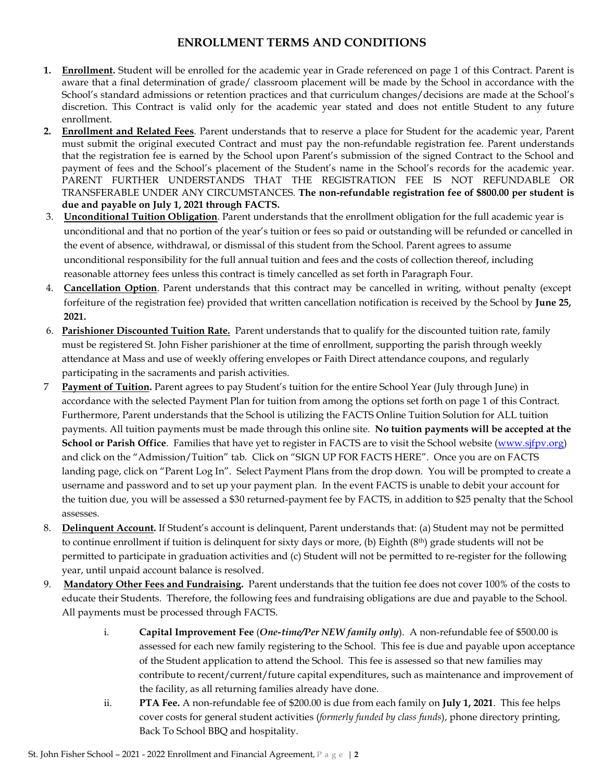# **ENROLLMENT TERMS AND CONDITIONS**

- **1. Enrollment.** Student will be enrolled for the academic year in Grade referenced on page 1 of this Contract. Parent is aware that a final determination of grade/ classroom placement will be made by the School in accordance with the School's standard admissions or retention practices and that curriculum changes/decisions are made at the School's discretion. This Contract is valid only for the academic year stated and does not entitle Student to any future enrollment.
- **2. Enrollment and Related Fees**. Parent understands that to reserve a place for Student for the academic year, Parent must submit the original executed Contract and must pay the non-refundable registration fee. Parent understands that the registration fee is earned by the School upon Parent's submission of the signed Contract to the School and payment of fees and the School's placement of the Student's name in the School's records for the academic year. PARENT FURTHER UNDERSTANDS THAT THE REGISTRATION FEE IS NOT REFUNDABLE OR TRANSFERABLE UNDER ANY CIRCUMSTANCES. **The non-refundable registration fee of \$800.00 per student is due and payable on July 1, 2021 through FACTS.**
- 3. **Unconditional Tuition Obligation**. Parent understands that the enrollment obligation for the full academic year is unconditional and that no portion of the year's tuition or fees so paid or outstanding will be refunded or cancelled in the event of absence, withdrawal, or dismissal of this student from the School. Parent agrees to assume unconditional responsibility for the full annual tuition and fees and the costs of collection thereof, including reasonable attorney fees unless this contract is timely cancelled as set forth in Paragraph Four.
- 4. **Cancellation Option**. Parent understands that this contract may be cancelled in writing, without penalty (except forfeiture of the registration fee) provided that written cancellation notification is received by the School by **June 25, 2021.**
- 6. **Parishioner Discounted Tuition Rate.** Parent understands that to qualify for the discounted tuition rate, family must be registered St. John Fisher parishioner at the time of enrollment, supporting the parish through weekly attendance at Mass and use of weekly offering envelopes or Faith Direct attendance coupons, and regularly participating in the sacraments and parish activities.
- 7 **Payment of Tuition.** Parent agrees to pay Student's tuition for the entire School Year (July through June) in accordance with the selected Payment Plan for tuition from among the options set forth on page 1 of this Contract. Furthermore, Parent understands that the School is utilizing the FACTS Online Tuition Solution for ALL tuition payments. All tuition payments must be made through this online site. **No tuition payments will be accepted at the School or Parish Office**. Families that have yet to register in FACTS are to visit the School website [\(www.sjfpv.org\)](http://www.sjfpv.org/) and click on the "Admission/Tuition" tab. Click on "SIGN UP FOR FACTS HERE". Once you are on FACTS landing page, click on "Parent Log In". Select Payment Plans from the drop down. You will be prompted to create a username and password and to set up your payment plan. In the event FACTS is unable to debit your account for the tuition due, you will be assessed a \$30 returned-payment fee by FACTS, in addition to \$25 penalty that the School assesses.
- 8. **Delinquent Account.** If Student's account is delinquent, Parent understands that: (a) Student may not be permitted to continue enrollment if tuition is delinquent for sixty days or more, (b) Eighth (8th) grade students will not be permitted to participate in graduation activities and (c) Student will not be permitted to re-register for the following year, until unpaid account balance is resolved.
- 9. **Mandatory Other Fees and Fundraising.** Parent understands that the tuition fee does not cover 100% of the costs to educate their Students. Therefore, the following fees and fundraising obligations are due and payable to the School. All payments must be processed through FACTS.
	- i. **Capital Improvement Fee** (*One-time/Per NEW family only*). A non-refundable fee of \$500.00 is assessed for each new family registering to the School. This fee is due and payable upon acceptance of the Student application to attend the School. This fee is assessed so that new families may contribute to recent/current/future capital expenditures, such as maintenance and improvement of the facility, as all returning families already have done.
	- ii. **PTA Fee.** A non-refundable fee of \$200.00 is due from each family on **July 1, 2021**. This fee helps cover costs for general student activities (*formerly funded by class funds*), phone directory printing, Back To School BBQ and hospitality.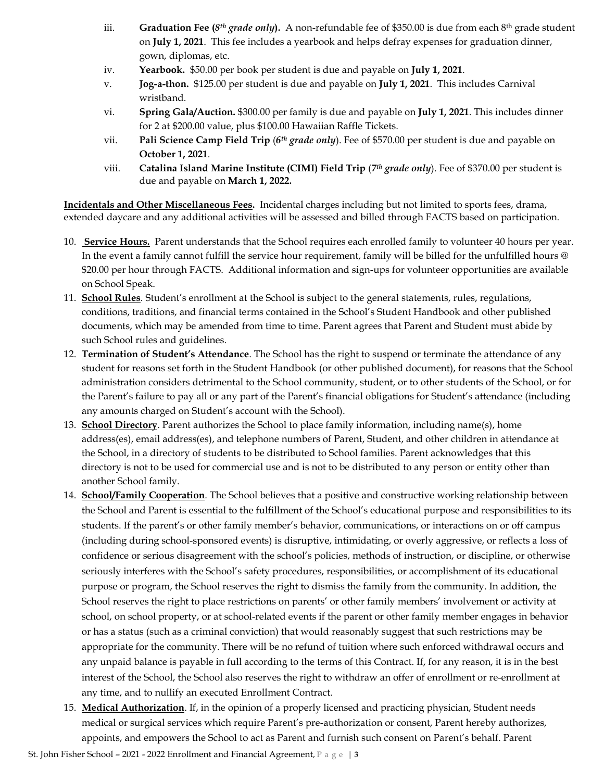- iii. **Graduation Fee (***8th grade only***).** A non-refundable fee of \$350.00 is due from each 8th grade student on **July 1, 2021**. This fee includes a yearbook and helps defray expenses for graduation dinner, gown, diplomas, etc.
- iv. **Yearbook.** \$50.00 per book per student is due and payable on **July 1, 2021**.
- v. **Jog-a-thon.** \$125.00 per student is due and payable on **July 1, 2021**. This includes Carnival wristband.
- vi. **Spring Gala/Auction.** \$300.00 per family is due and payable on **July 1, 2021**. This includes dinner for 2 at \$200.00 value, plus \$100.00 Hawaiian Raffle Tickets.
- vii. **Pali Science Camp Field Trip** (*6th grade only*). Fee of \$570.00 per student is due and payable on **October 1, 2021**.
- viii. **Catalina Island Marine Institute (CIMI) Field Trip** (*7th grade only*). Fee of \$370.00 per student is due and payable on **March 1, 2022.**

**Incidentals and Other Miscellaneous Fees.** Incidental charges including but not limited to sports fees, drama, extended daycare and any additional activities will be assessed and billed through FACTS based on participation.

- 10. **Service Hours.** Parent understands that the School requires each enrolled family to volunteer 40 hours per year. In the event a family cannot fulfill the service hour requirement, family will be billed for the unfulfilled hours @ \$20.00 per hour through FACTS. Additional information and sign-ups for volunteer opportunities are available on School Speak.
- 11. **School Rules**. Student's enrollment at the School is subject to the general statements, rules, regulations, conditions, traditions, and financial terms contained in the School's Student Handbook and other published documents, which may be amended from time to time. Parent agrees that Parent and Student must abide by such School rules and guidelines.
- 12. **Termination of Student's Attendance**. The School has the right to suspend or terminate the attendance of any student for reasons set forth in the Student Handbook (or other published document), for reasons that the School administration considers detrimental to the School community, student, or to other students of the School, or for the Parent's failure to pay all or any part of the Parent's financial obligations for Student's attendance (including any amounts charged on Student's account with the School).
- 13. **School Directory**. Parent authorizes the School to place family information, including name(s), home address(es), email address(es), and telephone numbers of Parent, Student, and other children in attendance at the School, in a directory of students to be distributed to School families. Parent acknowledges that this directory is not to be used for commercial use and is not to be distributed to any person or entity other than another School family.
- 14. **School/Family Cooperation**. The School believes that a positive and constructive working relationship between the School and Parent is essential to the fulfillment of the School's educational purpose and responsibilities to its students. If the parent's or other family member's behavior, communications, or interactions on or off campus (including during school-sponsored events) is disruptive, intimidating, or overly aggressive, or reflects a loss of confidence or serious disagreement with the school's policies, methods of instruction, or discipline, or otherwise seriously interferes with the School's safety procedures, responsibilities, or accomplishment of its educational purpose or program, the School reserves the right to dismiss the family from the community. In addition, the School reserves the right to place restrictions on parents' or other family members' involvement or activity at school, on school property, or at school-related events if the parent or other family member engages in behavior or has a status (such as a criminal conviction) that would reasonably suggest that such restrictions may be appropriate for the community. There will be no refund of tuition where such enforced withdrawal occurs and any unpaid balance is payable in full according to the terms of this Contract. If, for any reason, it is in the best interest of the School, the School also reserves the right to withdraw an offer of enrollment or re-enrollment at any time, and to nullify an executed Enrollment Contract.
- 15. **Medical Authorization**. If, in the opinion of a properly licensed and practicing physician, Student needs medical or surgical services which require Parent's pre-authorization or consent, Parent hereby authorizes, appoints, and empowers the School to act as Parent and furnish such consent on Parent's behalf. Parent